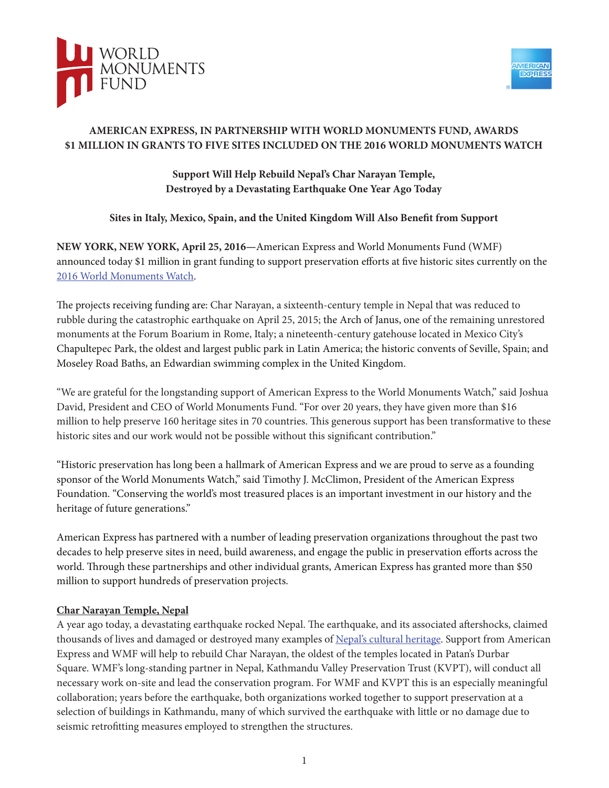



## **AMERICAN EXPRESS, IN PARTNERSHIP WITH WORLD MONUMENTS FUND, AWARDS \$1 MILLION IN GRANTS TO FIVE SITES INCLUDED ON THE 2016 WORLD MONUMENTS WATCH**

**Support Will Help Rebuild Nepal's Char Narayan Temple, Destroyed by a Devastating Earthquake One Year Ago Today**

**Sites in Italy, Mexico, Spain, and the United Kingdom Will Also Benefit from Support** 

**NEW YORK, NEW YORK, April 25, 2016—**American Express and World Monuments Fund (WMF) announced today \$1 million in grant funding to support preservation efforts at five historic sites currently on the [2016 World Monuments Watch.](https://www.wmf.org/watch/watch_year/2016)

The projects receiving funding are: Char Narayan, a sixteenth-century temple in Nepal that was reduced to rubble during the catastrophic earthquake on April 25, 2015; the Arch of Janus, one of the remaining unrestored monuments at the Forum Boarium in Rome, Italy; a nineteenth-century gatehouse located in Mexico City's Chapultepec Park, the oldest and largest public park in Latin America; the historic convents of Seville, Spain; and Moseley Road Baths, an Edwardian swimming complex in the United Kingdom.

"We are grateful for the longstanding support of American Express to the World Monuments Watch," said Joshua David, President and CEO of World Monuments Fund. "For over 20 years, they have given more than \$16 million to help preserve 160 heritage sites in 70 countries. This generous support has been transformative to these historic sites and our work would not be possible without this significant contribution."

"Historic preservation has long been a hallmark of American Express and we are proud to serve as a founding sponsor of the World Monuments Watch," said Timothy J. McClimon, President of the American Express Foundation. "Conserving the world's most treasured places is an important investment in our history and the heritage of future generations."

American Express has partnered with a number of leading preservation organizations throughout the past two decades to help preserve sites in need, build awareness, and engage the public in preservation efforts across the world. Through these partnerships and other individual grants, American Express has granted more than \$50 million to support hundreds of preservation projects.

# **Char Narayan Temple, Nepal**

A year ago today, a devastating earthquake rocked Nepal. The earthquake, and its associated aftershocks, claimed thousands of lives and damaged or destroyed many examples of [Nepal's cultural heritage](https://www.wmf.org/project/cultural-heritage-sites-nepal). Support from American Express and WMF will help to rebuild Char Narayan, the oldest of the temples located in Patan's Durbar Square. WMF's long-standing partner in Nepal, Kathmandu Valley Preservation Trust (KVPT), will conduct all necessary work on-site and lead the conservation program. For WMF and KVPT this is an especially meaningful collaboration; years before the earthquake, both organizations worked together to support preservation at a selection of buildings in Kathmandu, many of which survived the earthquake with little or no damage due to seismic retrofitting measures employed to strengthen the structures.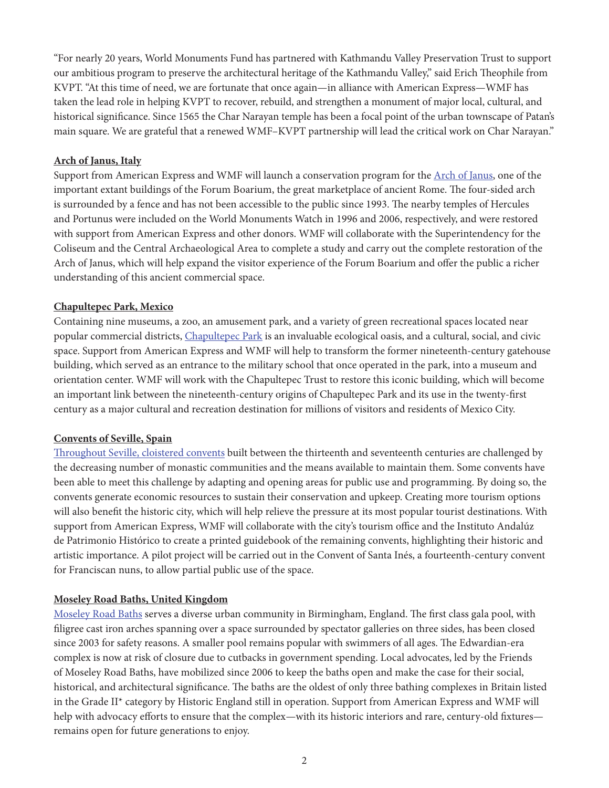"For nearly 20 years, World Monuments Fund has partnered with Kathmandu Valley Preservation Trust to support our ambitious program to preserve the architectural heritage of the Kathmandu Valley," said Erich Theophile from KVPT. "At this time of need, we are fortunate that once again—in alliance with American Express—WMF has taken the lead role in helping KVPT to recover, rebuild, and strengthen a monument of major local, cultural, and historical significance. Since 1565 the Char Narayan temple has been a focal point of the urban townscape of Patan's main square. We are grateful that a renewed WMF–KVPT partnership will lead the critical work on Char Narayan."

### **Arch of Janus, Italy**

Support from American Express and WMF will launch a conservation program for the [Arch of Janus,](https://www.wmf.org/project/arch-janus) one of the important extant buildings of the Forum Boarium, the great marketplace of ancient Rome. The four-sided arch is surrounded by a fence and has not been accessible to the public since 1993. The nearby temples of Hercules and Portunus were included on the World Monuments Watch in 1996 and 2006, respectively, and were restored with support from American Express and other donors. WMF will collaborate with the Superintendency for the Coliseum and the Central Archaeological Area to complete a study and carry out the complete restoration of the Arch of Janus, which will help expand the visitor experience of the Forum Boarium and offer the public a richer understanding of this ancient commercial space.

### **Chapultepec Park, Mexico**

Containing nine museums, a zoo, an amusement park, and a variety of green recreational spaces located near popular commercial districts, [Chapultepec Park](https://www.wmf.org/project/chapultepec-park) is an invaluable ecological oasis, and a cultural, social, and civic space. Support from American Express and WMF will help to transform the former nineteenth-century gatehouse building, which served as an entrance to the military school that once operated in the park, into a museum and orientation center. WMF will work with the Chapultepec Trust to restore this iconic building, which will become an important link between the nineteenth-century origins of Chapultepec Park and its use in the twenty-first century as a major cultural and recreation destination for millions of visitors and residents of Mexico City.

### **Convents of Seville, Spain**

[Throughout Seville, cloistered convents](https://www.wmf.org/project/convents-seville) built between the thirteenth and seventeenth centuries are challenged by the decreasing number of monastic communities and the means available to maintain them. Some convents have been able to meet this challenge by adapting and opening areas for public use and programming. By doing so, the convents generate economic resources to sustain their conservation and upkeep. Creating more tourism options will also benefit the historic city, which will help relieve the pressure at its most popular tourist destinations. With support from American Express, WMF will collaborate with the city's tourism office and the Instituto Andalúz de Patrimonio Histórico to create a printed guidebook of the remaining convents, highlighting their historic and artistic importance. A pilot project will be carried out in the Convent of Santa Inés, a fourteenth-century convent for Franciscan nuns, to allow partial public use of the space.

#### **Moseley Road Baths, United Kingdom**

[Moseley Road Baths](https://www.wmf.org/project/moseley-road-baths) serves a diverse urban community in Birmingham, England. The first class gala pool, with filigree cast iron arches spanning over a space surrounded by spectator galleries on three sides, has been closed since 2003 for safety reasons. A smaller pool remains popular with swimmers of all ages. The Edwardian-era complex is now at risk of closure due to cutbacks in government spending. Local advocates, led by the Friends of Moseley Road Baths, have mobilized since 2006 to keep the baths open and make the case for their social, historical, and architectural significance. The baths are the oldest of only three bathing complexes in Britain listed in the Grade II\* category by Historic England still in operation. Support from American Express and WMF will help with advocacy efforts to ensure that the complex—with its historic interiors and rare, century-old fixtures remains open for future generations to enjoy.